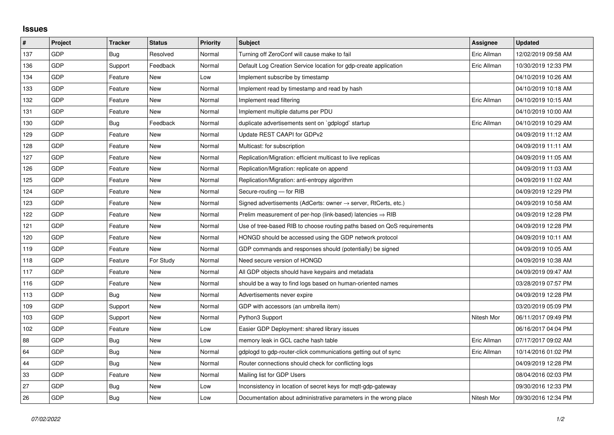## **Issues**

| #   | Project    | <b>Tracker</b> | <b>Status</b> | <b>Priority</b> | <b>Subject</b>                                                             | Assignee    | <b>Updated</b>      |
|-----|------------|----------------|---------------|-----------------|----------------------------------------------------------------------------|-------------|---------------------|
| 137 | GDP        | Bug            | Resolved      | Normal          | Turning off ZeroConf will cause make to fail                               | Eric Allman | 12/02/2019 09:58 AM |
| 136 | <b>GDP</b> | Support        | Feedback      | Normal          | Default Log Creation Service location for gdp-create application           | Eric Allman | 10/30/2019 12:33 PM |
| 134 | GDP        | Feature        | New           | Low             | Implement subscribe by timestamp                                           |             | 04/10/2019 10:26 AM |
| 133 | <b>GDP</b> | Feature        | <b>New</b>    | Normal          | Implement read by timestamp and read by hash                               |             | 04/10/2019 10:18 AM |
| 132 | <b>GDP</b> | Feature        | <b>New</b>    | Normal          | Implement read filtering                                                   | Eric Allman | 04/10/2019 10:15 AM |
| 131 | <b>GDP</b> | Feature        | New           | Normal          | Implement multiple datums per PDU                                          |             | 04/10/2019 10:00 AM |
| 130 | <b>GDP</b> | Bug            | Feedback      | Normal          | duplicate advertisements sent on `gdplogd` startup                         | Eric Allman | 04/10/2019 10:29 AM |
| 129 | GDP        | Feature        | <b>New</b>    | Normal          | Update REST CAAPI for GDPv2                                                |             | 04/09/2019 11:12 AM |
| 128 | <b>GDP</b> | Feature        | New           | Normal          | Multicast: for subscription                                                |             | 04/09/2019 11:11 AM |
| 127 | GDP        | Feature        | <b>New</b>    | Normal          | Replication/Migration: efficient multicast to live replicas                |             | 04/09/2019 11:05 AM |
| 126 | GDP        | Feature        | <b>New</b>    | Normal          | Replication/Migration: replicate on append                                 |             | 04/09/2019 11:03 AM |
| 125 | <b>GDP</b> | Feature        | New           | Normal          | Replication/Migration: anti-entropy algorithm                              |             | 04/09/2019 11:02 AM |
| 124 | GDP        | Feature        | <b>New</b>    | Normal          | Secure-routing - for RIB                                                   |             | 04/09/2019 12:29 PM |
| 123 | GDP        | Feature        | <b>New</b>    | Normal          | Signed advertisements (AdCerts: owner $\rightarrow$ server, RtCerts, etc.) |             | 04/09/2019 10:58 AM |
| 122 | <b>GDP</b> | Feature        | <b>New</b>    | Normal          | Prelim measurement of per-hop (link-based) latencies $\Rightarrow$ RIB     |             | 04/09/2019 12:28 PM |
| 121 | GDP        | Feature        | <b>New</b>    | Normal          | Use of tree-based RIB to choose routing paths based on QoS requirements    |             | 04/09/2019 12:28 PM |
| 120 | GDP        | Feature        | <b>New</b>    | Normal          | HONGD should be accessed using the GDP network protocol                    |             | 04/09/2019 10:11 AM |
| 119 | <b>GDP</b> | Feature        | New           | Normal          | GDP commands and responses should (potentially) be signed                  |             | 04/09/2019 10:05 AM |
| 118 | GDP        | Feature        | For Study     | Normal          | Need secure version of HONGD                                               |             | 04/09/2019 10:38 AM |
| 117 | <b>GDP</b> | Feature        | <b>New</b>    | Normal          | All GDP objects should have keypairs and metadata                          |             | 04/09/2019 09:47 AM |
| 116 | <b>GDP</b> | Feature        | <b>New</b>    | Normal          | should be a way to find logs based on human-oriented names                 |             | 03/28/2019 07:57 PM |
| 113 | GDP        | Bug            | <b>New</b>    | Normal          | Advertisements never expire                                                |             | 04/09/2019 12:28 PM |
| 109 | <b>GDP</b> | Support        | <b>New</b>    | Normal          | GDP with accessors (an umbrella item)                                      |             | 03/20/2019 05:09 PM |
| 103 | GDP        | Support        | <b>New</b>    | Normal          | Python3 Support                                                            | Nitesh Mor  | 06/11/2017 09:49 PM |
| 102 | <b>GDP</b> | Feature        | <b>New</b>    | Low             | Easier GDP Deployment: shared library issues                               |             | 06/16/2017 04:04 PM |
| 88  | GDP        | Bug            | <b>New</b>    | Low             | memory leak in GCL cache hash table                                        | Eric Allman | 07/17/2017 09:02 AM |
| 64  | GDP        | Bug            | <b>New</b>    | Normal          | gdplogd to gdp-router-click communications getting out of sync             | Eric Allman | 10/14/2016 01:02 PM |
| 44  | <b>GDP</b> | <b>Bug</b>     | <b>New</b>    | Normal          | Router connections should check for conflicting logs                       |             | 04/09/2019 12:28 PM |
| 33  | GDP        | Feature        | <b>New</b>    | Normal          | Mailing list for GDP Users                                                 |             | 08/04/2016 02:03 PM |
| 27  | GDP        | Bug            | <b>New</b>    | Low             | Inconsistency in location of secret keys for mgtt-gdp-gateway              |             | 09/30/2016 12:33 PM |
| 26  | <b>GDP</b> | Bug            | <b>New</b>    | Low             | Documentation about administrative parameters in the wrong place           | Nitesh Mor  | 09/30/2016 12:34 PM |